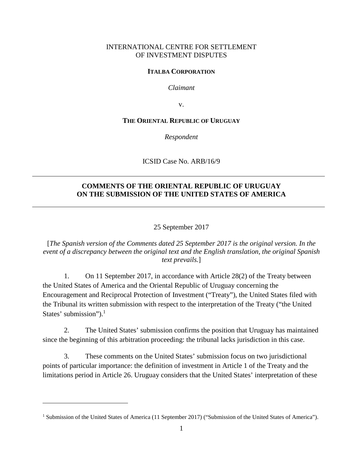### INTERNATIONAL CENTRE FOR SETTLEMENT OF INVESTMENT DISPUTES

### **ITALBA CORPORATION**

*Claimant* 

v.

#### **THE ORIENTAL REPUBLIC OF URUGUAY**

*Respondent* 

ICSID Case No. ARB/16/9

### **COMMENTS OF THE ORIENTAL REPUBLIC OF URUGUAY ON THE SUBMISSION OF THE UNITED STATES OF AMERICA**

25 September 2017

[*The Spanish version of the Comments dated 25 September 2017 is the original version. In the event of a discrepancy between the original text and the English translation, the original Spanish text prevails.*]

1. On 11 September 2017, in accordance with Article 28(2) of the Treaty between the United States of America and the Oriental Republic of Uruguay concerning the Encouragement and Reciprocal Protection of Investment ("Treaty"), the United States filed with the Tribunal its written submission with respect to the interpretation of the Treaty ("the United States' submission").<sup>1</sup>

2. The United States' submission confirms the position that Uruguay has maintained since the beginning of this arbitration proceeding: the tribunal lacks jurisdiction in this case.

3. These comments on the United States' submission focus on two jurisdictional points of particular importance: the definition of investment in Article 1 of the Treaty and the limitations period in Article 26. Uruguay considers that the United States' interpretation of these

<sup>&</sup>lt;sup>1</sup> Submission of the United States of America (11 September 2017) ("Submission of the United States of America").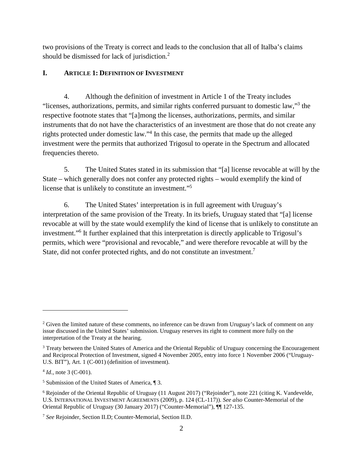two provisions of the Treaty is correct and leads to the conclusion that all of Italba's claims should be dismissed for lack of jurisdiction.<sup>2</sup>

## **I. ARTICLE 1: DEFINITION OF INVESTMENT**

4. Although the definition of investment in Article 1 of the Treaty includes "licenses, authorizations, permits, and similar rights conferred pursuant to domestic law,"<sup>3</sup> the respective footnote states that "[a]mong the licenses, authorizations, permits, and similar instruments that do not have the characteristics of an investment are those that do not create any rights protected under domestic law."<sup>4</sup> In this case, the permits that made up the alleged investment were the permits that authorized Trigosul to operate in the Spectrum and allocated frequencies thereto.

5. The United States stated in its submission that "[a] license revocable at will by the State – which generally does not confer any protected rights – would exemplify the kind of license that is unlikely to constitute an investment."<sup>5</sup>

6. The United States' interpretation is in full agreement with Uruguay's interpretation of the same provision of the Treaty. In its briefs, Uruguay stated that "[a] license revocable at will by the state would exemplify the kind of license that is unlikely to constitute an investment."<sup>6</sup> It further explained that this interpretation is directly applicable to Trigosul's permits, which were "provisional and revocable," and were therefore revocable at will by the State, did not confer protected rights, and do not constitute an investment.<sup>7</sup>

 $2$  Given the limited nature of these comments, no inference can be drawn from Uruguay's lack of comment on any issue discussed in the United States' submission. Uruguay reserves its right to comment more fully on the interpretation of the Treaty at the hearing.

<sup>&</sup>lt;sup>3</sup> Treaty between the United States of America and the Oriental Republic of Uruguay concerning the Encouragement and Reciprocal Protection of Investment, signed 4 November 2005, entry into force 1 November 2006 ("Uruguay-U.S. BIT"), Art. 1 (C-001) (definition of investment).

<sup>4</sup> *Id.*, note 3 (C-001).

<sup>5</sup> Submission of the United States of America, ¶ 3.

<sup>&</sup>lt;sup>6</sup> Rejoinder of the Oriental Republic of Uruguay (11 August 2017) ("Rejoinder"), note 221 (citing K. Vandevelde, U.S. INTERNATIONAL INVESTMENT AGREEMENTS (2009), p. 124 (CL-117)). *See also* Counter-Memorial of the Oriental Republic of Uruguay (30 January 2017) ("Counter-Memorial"), ¶¶ 127-135.

<sup>7</sup> *See* Rejoinder, Section II.D; Counter-Memorial, Section II.D.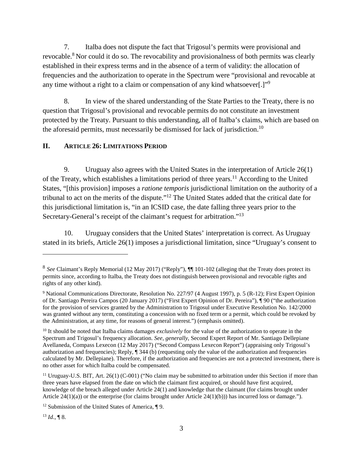7. Italba does not dispute the fact that Trigosul's permits were provisional and revocable.<sup>8</sup> Nor could it do so. The revocability and provisionalness of both permits was clearly established in their express terms and in the absence of a term of validity: the allocation of frequencies and the authorization to operate in the Spectrum were "provisional and revocable at any time without a right to a claim or compensation of any kind whatsoever[.]"<sup>9</sup>

8. In view of the shared understanding of the State Parties to the Treaty, there is no question that Trigosul's provisional and revocable permits do not constitute an investment protected by the Treaty. Pursuant to this understanding, all of Italba's claims, which are based on the aforesaid permits, must necessarily be dismissed for lack of jurisdiction.<sup>10</sup>

#### **II. ARTICLE 26: LIMITATIONS PERIOD**

9. Uruguay also agrees with the United States in the interpretation of Article 26(1) of the Treaty, which establishes a limitations period of three years.<sup>11</sup> According to the United States, "[this provision] imposes a *ratione temporis* jurisdictional limitation on the authority of a tribunal to act on the merits of the dispute."<sup>12</sup> The United States added that the critical date for this jurisdictional limitation is, "in an ICSID case, the date falling three years prior to the Secretary-General's receipt of the claimant's request for arbitration."<sup>13</sup>

10. Uruguay considers that the United States' interpretation is correct. As Uruguay stated in its briefs, Article 26(1) imposes a jurisdictional limitation, since "Uruguay's consent to

<sup>8</sup> *See* Claimant's Reply Memorial (12 May 2017) ("Reply"), ¶¶ 101-102 (alleging that the Treaty does protect its permits since, according to Italba, the Treaty does not distinguish between provisional and revocable rights and rights of any other kind).

<sup>&</sup>lt;sup>9</sup> National Communications Directorate, Resolution No. 227/97 (4 August 1997), p. 5 (R-12); First Expert Opinion of Dr. Santiago Pereira Campos (20 January 2017) ("First Expert Opinion of Dr. Pereira"), ¶ 90 ("the authorization for the provision of services granted by the Administration to Trigosul under Executive Resolution No. 142/2000 was granted without any term, constituting a concession with no fixed term or a permit, which could be revoked by the Administration, at any time, for reasons of general interest.") (emphasis omitted).

<sup>10</sup> It should be noted that Italba claims damages *exclusively* for the value of the authorization to operate in the Spectrum and Trigosul's frequency allocation. *See, generally*, Second Expert Report of Mr. Santiago Dellepiane Avellaneda, Compass Lexecon (12 May 2017) ("Second Compass Lexecon Report") (appraising only Trigosul's authorization and frequencies); Reply, ¶ 344 (b) (requesting only the value of the authorization and frequencies calculated by Mr. Dellepiane). Therefore, if the authorization and frequencies are not a protected investment, there is no other asset for which Italba could be compensated.

<sup>&</sup>lt;sup>11</sup> Uruguay-U.S. BIT, Art. 26(1) (C-001) ("No claim may be submitted to arbitration under this Section if more than three years have elapsed from the date on which the claimant first acquired, or should have first acquired, knowledge of the breach alleged under Article 24(1) and knowledge that the claimant (for claims brought under Article  $24(1)(a)$  or the enterprise (for claims brought under Article  $24(1)(b)$ )) has incurred loss or damage.").

<sup>&</sup>lt;sup>12</sup> Submission of the United States of America,  $\P$  9.

 $13$  *Id.*, **[8.**]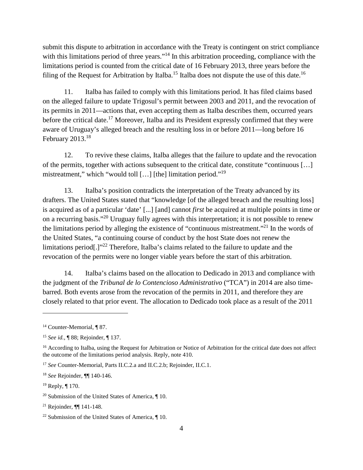submit this dispute to arbitration in accordance with the Treaty is contingent on strict compliance with this limitations period of three years."<sup>14</sup> In this arbitration proceeding, compliance with the limitations period is counted from the critical date of 16 February 2013, three years before the filing of the Request for Arbitration by Italba.<sup>15</sup> Italba does not dispute the use of this date.<sup>16</sup>

11. Italba has failed to comply with this limitations period. It has filed claims based on the alleged failure to update Trigosul's permit between 2003 and 2011, and the revocation of its permits in 2011—actions that, even accepting them as Italba describes them, occurred years before the critical date.<sup>17</sup> Moreover, Italba and its President expressly confirmed that they were aware of Uruguay's alleged breach and the resulting loss in or before 2011—long before 16 February  $2013.<sup>18</sup>$ 

12. To revive these claims, Italba alleges that the failure to update and the revocation of the permits, together with actions subsequent to the critical date, constitute "continuous […] mistreatment," which "would toll […] [the] limitation period."<sup>19</sup>

13. Italba's position contradicts the interpretation of the Treaty advanced by its drafters. The United States stated that "knowledge [of the alleged breach and the resulting loss] is acquired as of a particular 'date' [...] [and] cannot *first* be acquired at multiple points in time or on a recurring basis."<sup>20</sup> Uruguay fully agrees with this interpretation; it is not possible to renew the limitations period by alleging the existence of "continuous mistreatment."<sup>21</sup> In the words of the United States, "a continuing course of conduct by the host State does not renew the limitations period[.]"<sup>22</sup> Therefore, Italba's claims related to the failure to update and the revocation of the permits were no longer viable years before the start of this arbitration.

14. Italba's claims based on the allocation to Dedicado in 2013 and compliance with the judgment of the *Tribunal de lo Contencioso Administrativo* ("TCA") in 2014 are also timebarred. Both events arose from the revocation of the permits in 2011, and therefore they are closely related to that prior event. The allocation to Dedicado took place as a result of the 2011

<sup>&</sup>lt;sup>14</sup> Counter-Memorial, ¶ 87.

<sup>15</sup> *See id.*, ¶ 88; Rejoinder, ¶ 137.

<sup>&</sup>lt;sup>16</sup> According to Italba, using the Request for Arbitration or Notice of Arbitration for the critical date does not affect the outcome of the limitations period analysis. Reply, note 410.

<sup>17</sup> *See* Counter-Memorial, Parts II.C.2.a and II.C.2.b; Rejoinder, II.C.1.

<sup>18</sup> *See* Rejoinder, ¶¶ 140-146.

<sup>19</sup> Reply, ¶ 170.

<sup>20</sup> Submission of the United States of America, ¶ 10.

<sup>21</sup> Rejoinder, ¶¶ 141-148.

<sup>&</sup>lt;sup>22</sup> Submission of the United States of America,  $\P$  10.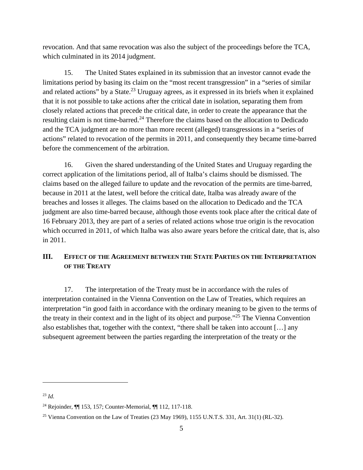revocation. And that same revocation was also the subject of the proceedings before the TCA, which culminated in its 2014 judgment.

15. The United States explained in its submission that an investor cannot evade the limitations period by basing its claim on the "most recent transgression" in a "series of similar and related actions" by a State.<sup>23</sup> Uruguay agrees, as it expressed in its briefs when it explained that it is not possible to take actions after the critical date in isolation, separating them from closely related actions that precede the critical date, in order to create the appearance that the resulting claim is not time-barred.<sup>24</sup> Therefore the claims based on the allocation to Dedicado and the TCA judgment are no more than more recent (alleged) transgressions in a "series of actions" related to revocation of the permits in 2011, and consequently they became time-barred before the commencement of the arbitration.

16. Given the shared understanding of the United States and Uruguay regarding the correct application of the limitations period, all of Italba's claims should be dismissed. The claims based on the alleged failure to update and the revocation of the permits are time-barred, because in 2011 at the latest, well before the critical date, Italba was already aware of the breaches and losses it alleges. The claims based on the allocation to Dedicado and the TCA judgment are also time-barred because, although those events took place after the critical date of 16 February 2013, they are part of a series of related actions whose true origin is the revocation which occurred in 2011, of which Italba was also aware years before the critical date, that is, also in 2011.

# **III. EFFECT OF THE AGREEMENT BETWEEN THE STATE PARTIES ON THE INTERPRETATION OF THE TREATY**

17. The interpretation of the Treaty must be in accordance with the rules of interpretation contained in the Vienna Convention on the Law of Treaties, which requires an interpretation "in good faith in accordance with the ordinary meaning to be given to the terms of the treaty in their context and in the light of its object and purpose."<sup>25</sup> The Vienna Convention also establishes that, together with the context, "there shall be taken into account […] any subsequent agreement between the parties regarding the interpretation of the treaty or the

<sup>23</sup> *Id.*

<sup>24</sup> Rejoinder, ¶¶ 153, 157; Counter-Memorial, ¶¶ 112, 117-118.

<sup>&</sup>lt;sup>25</sup> Vienna Convention on the Law of Treaties (23 May 1969), 1155 U.N.T.S. 331, Art. 31(1) (RL-32).